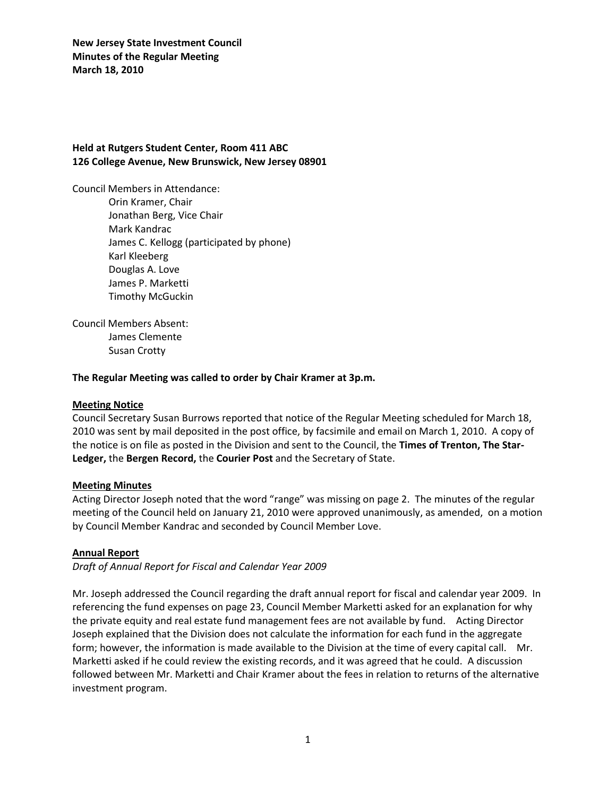## **Held at Rutgers Student Center, Room 411 ABC 126 College Avenue, New Brunswick, New Jersey 08901**

Council Members in Attendance: Orin Kramer, Chair Jonathan Berg, Vice Chair Mark Kandrac James C. Kellogg (participated by phone) Karl Kleeberg Douglas A. Love

> James P. Marketti Timothy McGuckin

Council Members Absent: James Clemente Susan Crotty

### **The Regular Meeting was called to order by Chair Kramer at 3p.m.**

### **Meeting Notice**

Council Secretary Susan Burrows reported that notice of the Regular Meeting scheduled for March 18, 2010 was sent by mail deposited in the post office, by facsimile and email on March 1, 2010. A copy of the notice is on file as posted in the Division and sent to the Council, the **Times of Trenton, The Star-Ledger,** the **Bergen Record,** the **Courier Post** and the Secretary of State.

### **Meeting Minutes**

Acting Director Joseph noted that the word "range" was missing on page 2. The minutes of the regular meeting of the Council held on January 21, 2010 were approved unanimously, as amended, on a motion by Council Member Kandrac and seconded by Council Member Love.

### **Annual Report**

*Draft of Annual Report for Fiscal and Calendar Year 2009*

Mr. Joseph addressed the Council regarding the draft annual report for fiscal and calendar year 2009. In referencing the fund expenses on page 23, Council Member Marketti asked for an explanation for why the private equity and real estate fund management fees are not available by fund. Acting Director Joseph explained that the Division does not calculate the information for each fund in the aggregate form; however, the information is made available to the Division at the time of every capital call. Mr. Marketti asked if he could review the existing records, and it was agreed that he could. A discussion followed between Mr. Marketti and Chair Kramer about the fees in relation to returns of the alternative investment program.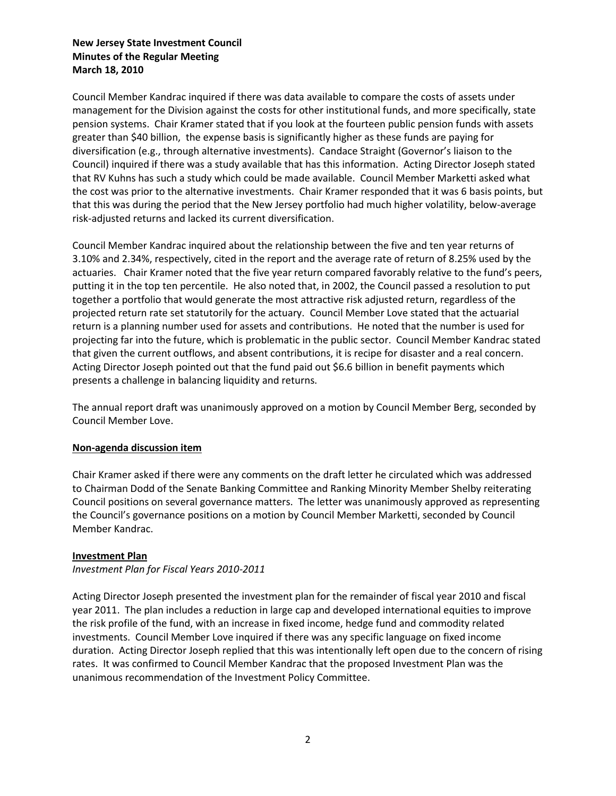Council Member Kandrac inquired if there was data available to compare the costs of assets under management for the Division against the costs for other institutional funds, and more specifically, state pension systems. Chair Kramer stated that if you look at the fourteen public pension funds with assets greater than \$40 billion, the expense basis is significantly higher as these funds are paying for diversification (e.g., through alternative investments). Candace Straight (Governor's liaison to the Council) inquired if there was a study available that has this information. Acting Director Joseph stated that RV Kuhns has such a study which could be made available. Council Member Marketti asked what the cost was prior to the alternative investments. Chair Kramer responded that it was 6 basis points, but that this was during the period that the New Jersey portfolio had much higher volatility, below-average risk-adjusted returns and lacked its current diversification.

Council Member Kandrac inquired about the relationship between the five and ten year returns of 3.10% and 2.34%, respectively, cited in the report and the average rate of return of 8.25% used by the actuaries. Chair Kramer noted that the five year return compared favorably relative to the fund's peers, putting it in the top ten percentile. He also noted that, in 2002, the Council passed a resolution to put together a portfolio that would generate the most attractive risk adjusted return, regardless of the projected return rate set statutorily for the actuary. Council Member Love stated that the actuarial return is a planning number used for assets and contributions. He noted that the number is used for projecting far into the future, which is problematic in the public sector. Council Member Kandrac stated that given the current outflows, and absent contributions, it is recipe for disaster and a real concern. Acting Director Joseph pointed out that the fund paid out \$6.6 billion in benefit payments which presents a challenge in balancing liquidity and returns.

The annual report draft was unanimously approved on a motion by Council Member Berg, seconded by Council Member Love.

### **Non-agenda discussion item**

Chair Kramer asked if there were any comments on the draft letter he circulated which was addressed to Chairman Dodd of the Senate Banking Committee and Ranking Minority Member Shelby reiterating Council positions on several governance matters. The letter was unanimously approved as representing the Council's governance positions on a motion by Council Member Marketti, seconded by Council Member Kandrac.

#### **Investment Plan**

*Investment Plan for Fiscal Years 2010-2011*

Acting Director Joseph presented the investment plan for the remainder of fiscal year 2010 and fiscal year 2011. The plan includes a reduction in large cap and developed international equities to improve the risk profile of the fund, with an increase in fixed income, hedge fund and commodity related investments. Council Member Love inquired if there was any specific language on fixed income duration. Acting Director Joseph replied that this was intentionally left open due to the concern of rising rates. It was confirmed to Council Member Kandrac that the proposed Investment Plan was the unanimous recommendation of the Investment Policy Committee.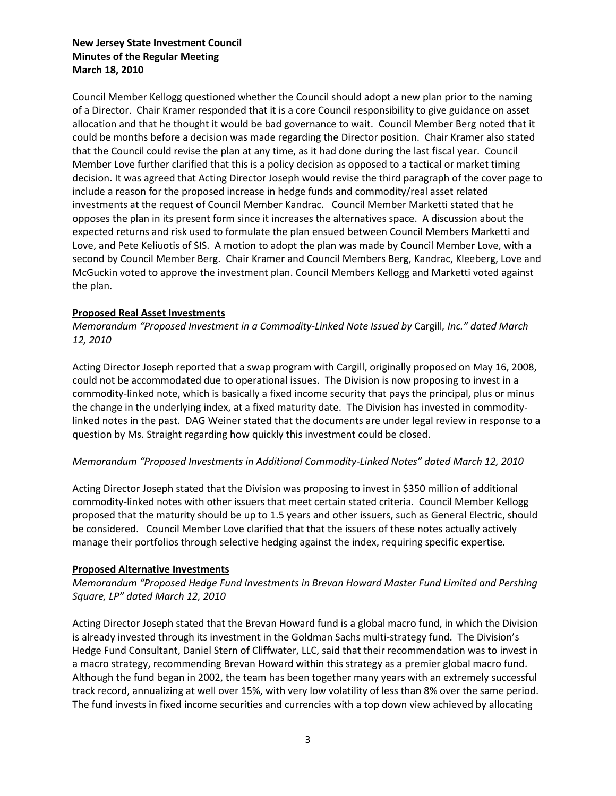Council Member Kellogg questioned whether the Council should adopt a new plan prior to the naming of a Director. Chair Kramer responded that it is a core Council responsibility to give guidance on asset allocation and that he thought it would be bad governance to wait. Council Member Berg noted that it could be months before a decision was made regarding the Director position. Chair Kramer also stated that the Council could revise the plan at any time, as it had done during the last fiscal year. Council Member Love further clarified that this is a policy decision as opposed to a tactical or market timing decision. It was agreed that Acting Director Joseph would revise the third paragraph of the cover page to include a reason for the proposed increase in hedge funds and commodity/real asset related investments at the request of Council Member Kandrac. Council Member Marketti stated that he opposes the plan in its present form since it increases the alternatives space. A discussion about the expected returns and risk used to formulate the plan ensued between Council Members Marketti and Love, and Pete Keliuotis of SIS. A motion to adopt the plan was made by Council Member Love, with a second by Council Member Berg. Chair Kramer and Council Members Berg, Kandrac, Kleeberg, Love and McGuckin voted to approve the investment plan. Council Members Kellogg and Marketti voted against the plan.

## **Proposed Real Asset Investments**

*Memorandum "Proposed Investment in a Commodity-Linked Note Issued by* Cargill*, Inc." dated March 12, 2010*

Acting Director Joseph reported that a swap program with Cargill, originally proposed on May 16, 2008, could not be accommodated due to operational issues. The Division is now proposing to invest in a commodity-linked note, which is basically a fixed income security that pays the principal, plus or minus the change in the underlying index, at a fixed maturity date. The Division has invested in commoditylinked notes in the past. DAG Weiner stated that the documents are under legal review in response to a question by Ms. Straight regarding how quickly this investment could be closed.

# *Memorandum "Proposed Investments in Additional Commodity-Linked Notes" dated March 12, 2010*

Acting Director Joseph stated that the Division was proposing to invest in \$350 million of additional commodity-linked notes with other issuers that meet certain stated criteria. Council Member Kellogg proposed that the maturity should be up to 1.5 years and other issuers, such as General Electric, should be considered. Council Member Love clarified that that the issuers of these notes actually actively manage their portfolios through selective hedging against the index, requiring specific expertise.

### **Proposed Alternative Investments**

*Memorandum "Proposed Hedge Fund Investments in Brevan Howard Master Fund Limited and Pershing Square, LP" dated March 12, 2010*

Acting Director Joseph stated that the Brevan Howard fund is a global macro fund, in which the Division is already invested through its investment in the Goldman Sachs multi-strategy fund. The Division's Hedge Fund Consultant, Daniel Stern of Cliffwater, LLC, said that their recommendation was to invest in a macro strategy, recommending Brevan Howard within this strategy as a premier global macro fund. Although the fund began in 2002, the team has been together many years with an extremely successful track record, annualizing at well over 15%, with very low volatility of less than 8% over the same period. The fund invests in fixed income securities and currencies with a top down view achieved by allocating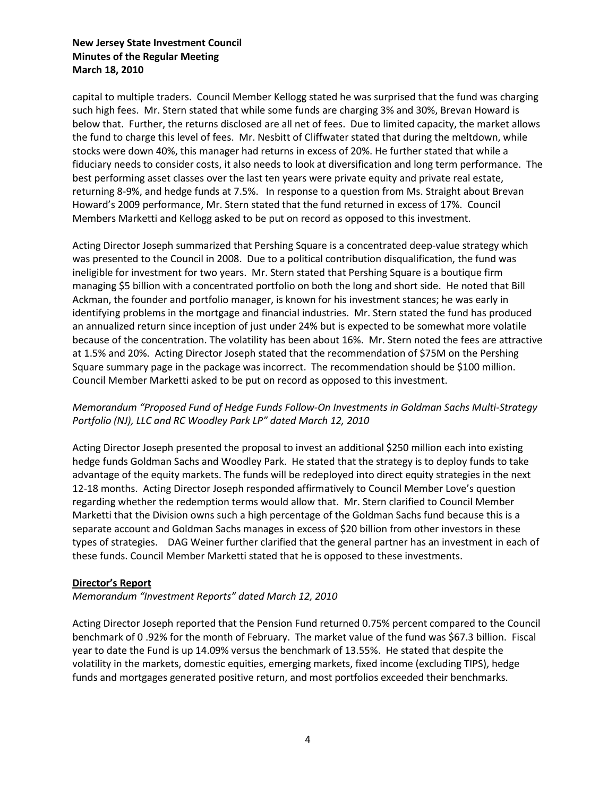capital to multiple traders. Council Member Kellogg stated he was surprised that the fund was charging such high fees. Mr. Stern stated that while some funds are charging 3% and 30%, Brevan Howard is below that. Further, the returns disclosed are all net of fees. Due to limited capacity, the market allows the fund to charge this level of fees. Mr. Nesbitt of Cliffwater stated that during the meltdown, while stocks were down 40%, this manager had returns in excess of 20%. He further stated that while a fiduciary needs to consider costs, it also needs to look at diversification and long term performance. The best performing asset classes over the last ten years were private equity and private real estate, returning 8-9%, and hedge funds at 7.5%. In response to a question from Ms. Straight about Brevan Howard's 2009 performance, Mr. Stern stated that the fund returned in excess of 17%. Council Members Marketti and Kellogg asked to be put on record as opposed to this investment.

Acting Director Joseph summarized that Pershing Square is a concentrated deep-value strategy which was presented to the Council in 2008. Due to a political contribution disqualification, the fund was ineligible for investment for two years. Mr. Stern stated that Pershing Square is a boutique firm managing \$5 billion with a concentrated portfolio on both the long and short side. He noted that Bill Ackman, the founder and portfolio manager, is known for his investment stances; he was early in identifying problems in the mortgage and financial industries. Mr. Stern stated the fund has produced an annualized return since inception of just under 24% but is expected to be somewhat more volatile because of the concentration. The volatility has been about 16%. Mr. Stern noted the fees are attractive at 1.5% and 20%. Acting Director Joseph stated that the recommendation of \$75M on the Pershing Square summary page in the package was incorrect. The recommendation should be \$100 million. Council Member Marketti asked to be put on record as opposed to this investment.

# *Memorandum "Proposed Fund of Hedge Funds Follow-On Investments in Goldman Sachs Multi-Strategy Portfolio (NJ), LLC and RC Woodley Park LP" dated March 12, 2010*

Acting Director Joseph presented the proposal to invest an additional \$250 million each into existing hedge funds Goldman Sachs and Woodley Park. He stated that the strategy is to deploy funds to take advantage of the equity markets. The funds will be redeployed into direct equity strategies in the next 12-18 months. Acting Director Joseph responded affirmatively to Council Member Love's question regarding whether the redemption terms would allow that. Mr. Stern clarified to Council Member Marketti that the Division owns such a high percentage of the Goldman Sachs fund because this is a separate account and Goldman Sachs manages in excess of \$20 billion from other investors in these types of strategies. DAG Weiner further clarified that the general partner has an investment in each of these funds. Council Member Marketti stated that he is opposed to these investments.

# **Director's Report**

*Memorandum "Investment Reports" dated March 12, 2010*

Acting Director Joseph reported that the Pension Fund returned 0.75% percent compared to the Council benchmark of 0 .92% for the month of February. The market value of the fund was \$67.3 billion. Fiscal year to date the Fund is up 14.09% versus the benchmark of 13.55%. He stated that despite the volatility in the markets, domestic equities, emerging markets, fixed income (excluding TIPS), hedge funds and mortgages generated positive return, and most portfolios exceeded their benchmarks.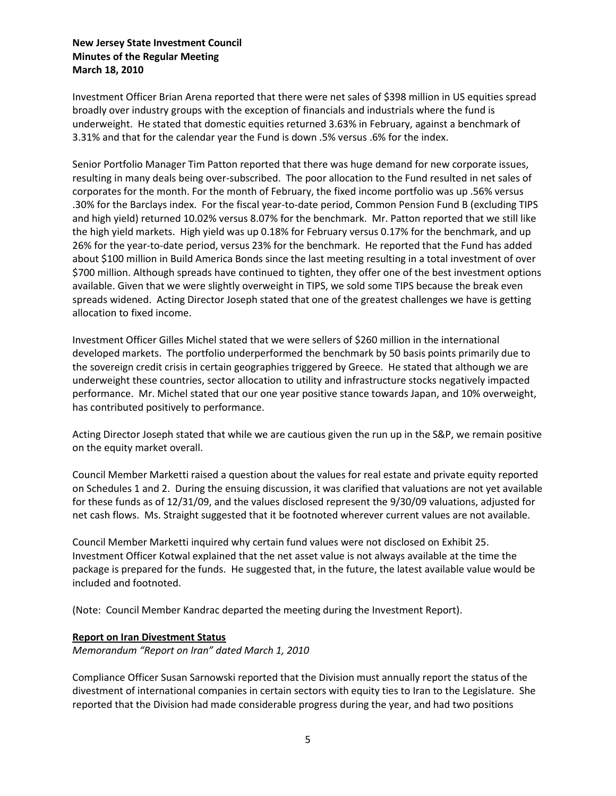Investment Officer Brian Arena reported that there were net sales of \$398 million in US equities spread broadly over industry groups with the exception of financials and industrials where the fund is underweight. He stated that domestic equities returned 3.63% in February, against a benchmark of 3.31% and that for the calendar year the Fund is down .5% versus .6% for the index.

Senior Portfolio Manager Tim Patton reported that there was huge demand for new corporate issues, resulting in many deals being over-subscribed. The poor allocation to the Fund resulted in net sales of corporates for the month. For the month of February, the fixed income portfolio was up .56% versus .30% for the Barclays index. For the fiscal year-to-date period, Common Pension Fund B (excluding TIPS and high yield) returned 10.02% versus 8.07% for the benchmark. Mr. Patton reported that we still like the high yield markets. High yield was up 0.18% for February versus 0.17% for the benchmark, and up 26% for the year-to-date period, versus 23% for the benchmark. He reported that the Fund has added about \$100 million in Build America Bonds since the last meeting resulting in a total investment of over \$700 million. Although spreads have continued to tighten, they offer one of the best investment options available. Given that we were slightly overweight in TIPS, we sold some TIPS because the break even spreads widened. Acting Director Joseph stated that one of the greatest challenges we have is getting allocation to fixed income.

Investment Officer Gilles Michel stated that we were sellers of \$260 million in the international developed markets. The portfolio underperformed the benchmark by 50 basis points primarily due to the sovereign credit crisis in certain geographies triggered by Greece. He stated that although we are underweight these countries, sector allocation to utility and infrastructure stocks negatively impacted performance. Mr. Michel stated that our one year positive stance towards Japan, and 10% overweight, has contributed positively to performance.

Acting Director Joseph stated that while we are cautious given the run up in the S&P, we remain positive on the equity market overall.

Council Member Marketti raised a question about the values for real estate and private equity reported on Schedules 1 and 2. During the ensuing discussion, it was clarified that valuations are not yet available for these funds as of 12/31/09, and the values disclosed represent the 9/30/09 valuations, adjusted for net cash flows. Ms. Straight suggested that it be footnoted wherever current values are not available.

Council Member Marketti inquired why certain fund values were not disclosed on Exhibit 25. Investment Officer Kotwal explained that the net asset value is not always available at the time the package is prepared for the funds. He suggested that, in the future, the latest available value would be included and footnoted.

(Note: Council Member Kandrac departed the meeting during the Investment Report).

### **Report on Iran Divestment Status**

*Memorandum "Report on Iran" dated March 1, 2010*

Compliance Officer Susan Sarnowski reported that the Division must annually report the status of the divestment of international companies in certain sectors with equity ties to Iran to the Legislature. She reported that the Division had made considerable progress during the year, and had two positions